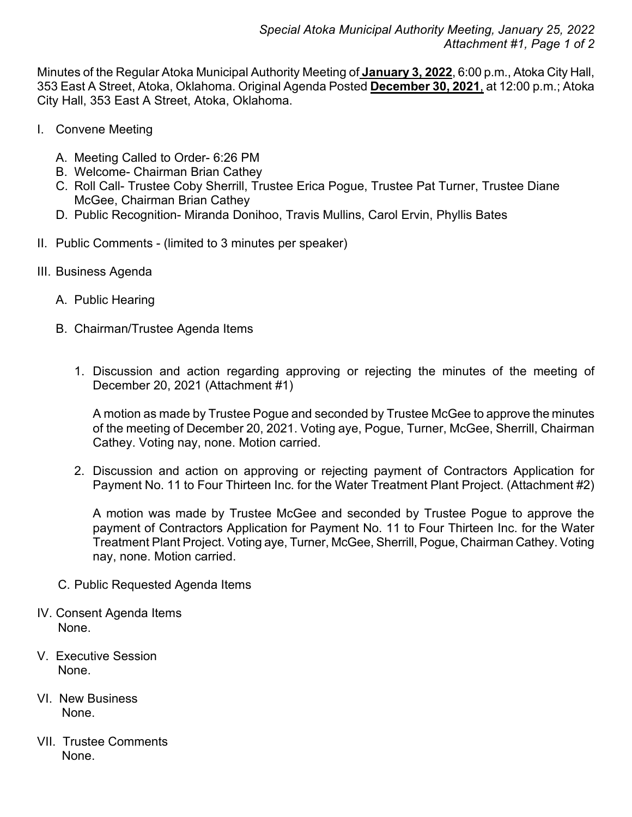Minutes of the Regular Atoka Municipal Authority Meeting of **January 3, 2022**, 6:00 p.m., Atoka City Hall, 353 East A Street, Atoka, Oklahoma. Original Agenda Posted **December 30, 2021**, at 12:00 p.m.; Atoka City Hall, 353 East A Street, Atoka, Oklahoma.

- I. Convene Meeting
	- A. Meeting Called to Order- 6:26 PM
	- B. Welcome- Chairman Brian Cathey
	- C. Roll Call- Trustee Coby Sherrill, Trustee Erica Pogue, Trustee Pat Turner, Trustee Diane McGee, Chairman Brian Cathey
	- D. Public Recognition- Miranda Donihoo, Travis Mullins, Carol Ervin, Phyllis Bates
- II. Public Comments (limited to 3 minutes per speaker)
- III. Business Agenda
	- A. Public Hearing
	- B. Chairman/Trustee Agenda Items
		- 1. Discussion and action regarding approving or rejecting the minutes of the meeting of December 20, 2021 (Attachment #1)

A motion as made by Trustee Pogue and seconded by Trustee McGee to approve the minutes of the meeting of December 20, 2021. Voting aye, Pogue, Turner, McGee, Sherrill, Chairman Cathey. Voting nay, none. Motion carried.

2. Discussion and action on approving or rejecting payment of Contractors Application for Payment No. 11 to Four Thirteen Inc. for the Water Treatment Plant Project. (Attachment #2)

A motion was made by Trustee McGee and seconded by Trustee Pogue to approve the payment of Contractors Application for Payment No. 11 to Four Thirteen Inc. for the Water Treatment Plant Project. Voting aye, Turner, McGee, Sherrill, Pogue, Chairman Cathey. Voting nay, none. Motion carried.

- C. Public Requested Agenda Items
- IV. Consent Agenda Items None.
- V. Executive Session None.
- VI. New Business None.
- VII. Trustee Comments None.